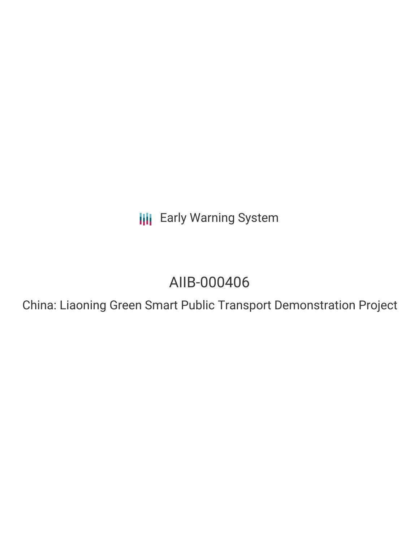**III** Early Warning System

# AIIB-000406

China: Liaoning Green Smart Public Transport Demonstration Project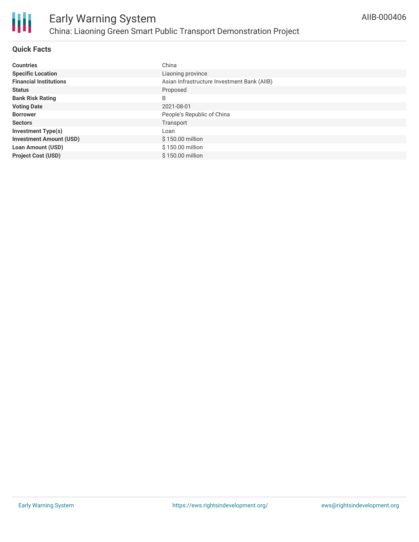

# **Quick Facts**

| <b>Countries</b>               | China                                       |
|--------------------------------|---------------------------------------------|
| <b>Specific Location</b>       | Liaoning province                           |
| <b>Financial Institutions</b>  | Asian Infrastructure Investment Bank (AIIB) |
| <b>Status</b>                  | Proposed                                    |
| <b>Bank Risk Rating</b>        | B                                           |
| <b>Voting Date</b>             | 2021-08-01                                  |
| <b>Borrower</b>                | People's Republic of China                  |
| <b>Sectors</b>                 | Transport                                   |
| <b>Investment Type(s)</b>      | Loan                                        |
| <b>Investment Amount (USD)</b> | \$150.00 million                            |
| <b>Loan Amount (USD)</b>       | \$150.00 million                            |
| <b>Project Cost (USD)</b>      | \$150.00 million                            |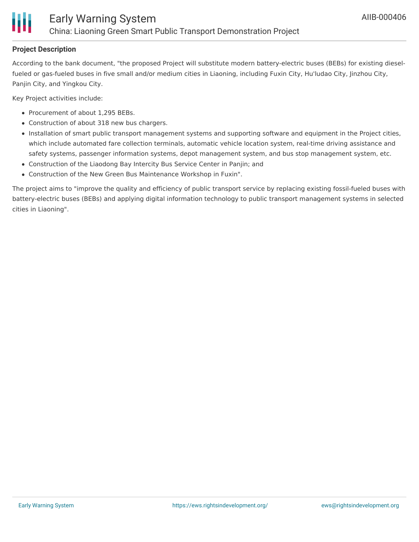

# **Project Description**

According to the bank document, "the proposed Project will substitute modern battery-electric buses (BEBs) for existing dieselfueled or gas-fueled buses in five small and/or medium cities in Liaoning, including Fuxin City, Hu'ludao City, Jinzhou City, Panjin City, and Yingkou City.

Key Project activities include:

- Procurement of about 1,295 BEBs.
- Construction of about 318 new bus chargers.
- Installation of smart public transport management systems and supporting software and equipment in the Project cities, which include automated fare collection terminals, automatic vehicle location system, real-time driving assistance and safety systems, passenger information systems, depot management system, and bus stop management system, etc.
- Construction of the Liaodong Bay Intercity Bus Service Center in Panjin; and
- Construction of the New Green Bus Maintenance Workshop in Fuxin".

The project aims to "improve the quality and efficiency of public transport service by replacing existing fossil-fueled buses with battery-electric buses (BEBs) and applying digital information technology to public transport management systems in selected cities in Liaoning".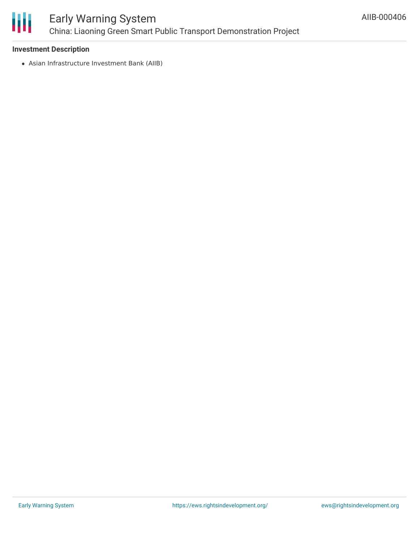

# Early Warning System China: Liaoning Green Smart Public Transport Demonstration Project

# **Investment Description**

Asian Infrastructure Investment Bank (AIIB)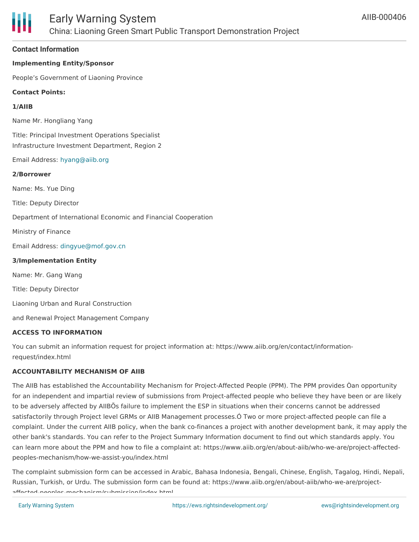

## **Contact Information**

### **Implementing Entity/Sponsor**

People's Government of Liaoning Province

#### **Contact Points:**

#### **1/AIIB**

Name Mr. Hongliang Yang

Title: Principal Investment Operations Specialist Infrastructure Investment Department, Region 2

Email Address: [hyang@aiib.org](mailto:hyang@aiib.org)

#### **2/Borrower**

Name: Ms. Yue Ding

Title: Deputy Director

Department of International Economic and Financial Cooperation

Ministry of Finance

Email Address: [dingyue@mof.gov.cn](mailto:dingyue@mof.gov.cn)

#### **3/Implementation Entity**

Name: Mr. Gang Wang

Title: Deputy Director

Liaoning Urban and Rural Construction

and Renewal Project Management Company

#### **ACCESS TO INFORMATION**

You can submit an information request for project information at: https://www.aiib.org/en/contact/informationrequest/index.html

#### **ACCOUNTABILITY MECHANISM OF AIIB**

The AIIB has established the Accountability Mechanism for Project-Affected People (PPM). The PPM provides Òan opportunity for an independent and impartial review of submissions from Project-affected people who believe they have been or are likely to be adversely affected by AIIBÕs failure to implement the ESP in situations when their concerns cannot be addressed satisfactorily through Project level GRMs or AIIB Management processes.Ó Two or more project-affected people can file a complaint. Under the current AIIB policy, when the bank co-finances a project with another development bank, it may apply the other bank's standards. You can refer to the Project Summary Information document to find out which standards apply. You can learn more about the PPM and how to file a complaint at: https://www.aiib.org/en/about-aiib/who-we-are/project-affectedpeoples-mechanism/how-we-assist-you/index.html

The complaint submission form can be accessed in Arabic, Bahasa Indonesia, Bengali, Chinese, English, Tagalog, Hindi, Nepali, Russian, Turkish, or Urdu. The submission form can be found at: https://www.aiib.org/en/about-aiib/who-we-are/projectafforted-peoples-mechanism/submission/index-html